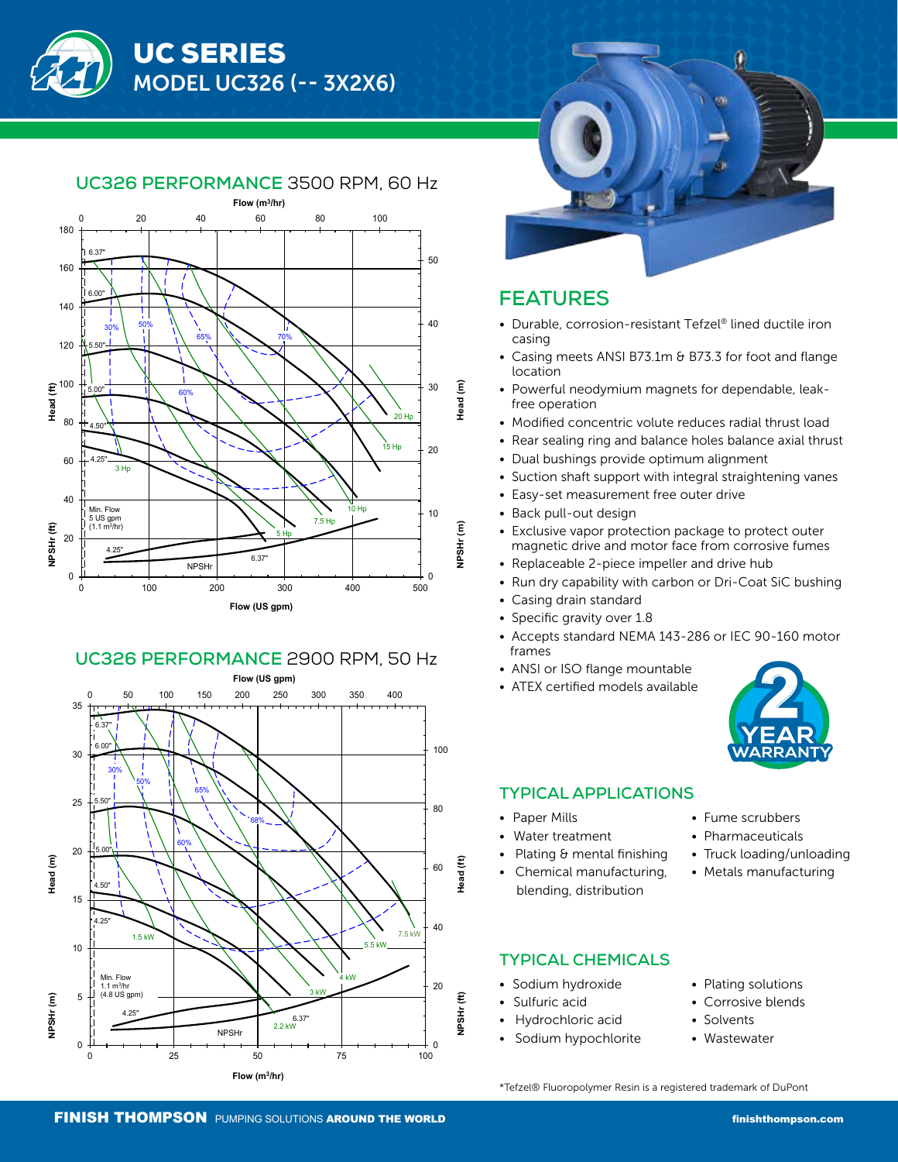



### **UC326 PERFORMANCE** 3500 RPM, 60 Hz







## **FEATURES**

- Durable, corrosion-resistant Tefzel® lined ductile iron casing
- Casing meets ANSI B73.1m & B73.3 for foot and flange location
- Powerful neodymium magnets for dependable, leak free operation
- Modified concentric volute reduces radial thrust load
- Rear sealing ring and balance holes balance axial thrust
- Dual bushings provide optimum alignment
- Suction shaft support with integral straightening vanes
- Easy-set measurement free outer drive
- Back pull-out design
- Exclusive vapor protection package to protect outer magnetic drive and motor face from corrosive fumes
- Replaceable 2-piece impeller and drive hub
- Run dry capability with carbon or Dri-Coat SiC bushing
- Casing drain standard
- Specific gravity over 1.8
- Accepts standard NEMA 143-286 or IEC 90-160 motor frames
- ANSI or ISO flange mountable
- ATEX certified models available



#### **TYPICAL APPLICATIONS**

- Paper Mills
	- Water treatment
- Plating & mental finishing
- Chemical manufacturing, blending, distribution
- Fume scrubbers
- Pharmaceuticals
- Truck loading/unloading
- Metals manufacturing

#### **TYPICAL CHEMICALS**

- Sodium hydroxide
- Sulfuric acid
- Hydrochloric acid
- Sodium hypochlorite
- Plating solutions
- Corrosive blends
- Solvents
	- **Wastewater**

\*Tefzel® Fluoropolymer Resin is a registered trademark of DuPont